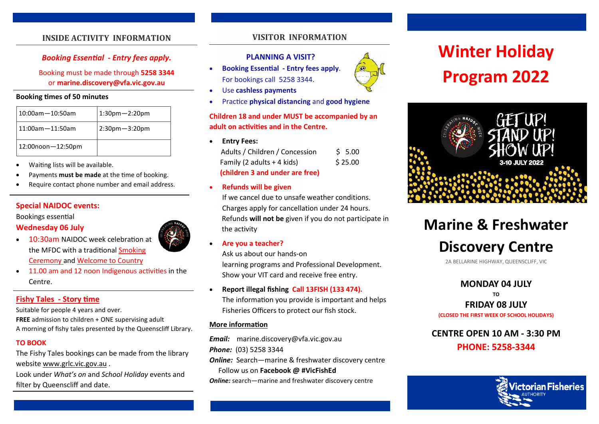## **INSIDE ACTIVITY INFORMATION**

### **Booking Essential - Entry fees apply.**

Booking must be made through **5258 3344** or **marine.discovery@vfa.vic.gov.au**

#### **Booking times of 50 minutes**

| $10:00$ am $-10:50$ am | $1:30$ pm $-2:20$ pm |
|------------------------|----------------------|
| $11:00$ am $-11:50$ am | $2:30$ pm $-3:20$ pm |
| 12:00noon-12:50pm      |                      |

- Waiting lists will be available.
- Payments **must be made** at the time of booking.
- Require contact phone number and email address.

#### **Special NAIDOC events:**

Bookings essential

### **Wednesday 06 July**

- 10:30am NAIDOC week celebration at the MFDC with a traditional Smoking Ceremony and Welcome to Country
- 11.00 am and 12 noon Indigenous activities in the Centre.

#### **Fishy Tales - Story time**

Suitable for people 4 years and over.

**FREE** admission to children + ONE supervising adultA morning of fishy tales presented by the Queenscliff Library.

#### **TO BOOK**

The Fishy Tales bookings can be made from the library website www.grlc.vic.gov.au .

Look under *What's on* and *School Holiday* events and filter by Queenscliff and date.

## **VISITOR INFORMATION**

#### **PLANNING A VISIT?**

- **Booking Essential Entry fees apply.** For bookings call 5258 3344.
- Use **cashless payments**
- Practice **physical distancing** and **good hygiene**

**Children 18 and under MUST be accompanied by an adult on activities and in the Centre.** 

**Entry Fees:** 

| Adults / Children / Concession  | \$5.00  |
|---------------------------------|---------|
| Family (2 adults $+$ 4 kids)    | \$25.00 |
| (children 3 and under are free) |         |

**•** Refunds will be given

If we cancel due to unsafe weather conditions. Charges apply for cancellation under 24 hours. Refunds **will not be** given if you do not participate in the activity

**Are you a teacher?** 

Ask us about our hands-on learning programs and Professional Development. Show your VIT card and receive free entry.

#### **Report illegal fishing Call 13FISH (133 474).**

The information you provide is important and helps Fisheries Officers to protect our fish stock.

#### **More information**

*Email:* marine.discovery@vfa.vic.gov.au *Phone:* (03) 5258 3344

**Online:** Search-marine & freshwater discovery centre

Follow us on **Facebook @ #VicFishEd** 

*Online:* search—marine and freshwater discovery centre



## **Winter Holiday Program 2022**



# **Marine & Freshwater**

## **Discovery Centre**

2A BELLARINE HIGHWAY, QUEENSCLIFF, VIC

**MONDAY 04 JULY** 

**TO** 

## **FRIDAY 08 JULY**

**(CLOSED THE FIRST WEEK OF SCHOOL HOLIDAYS)**